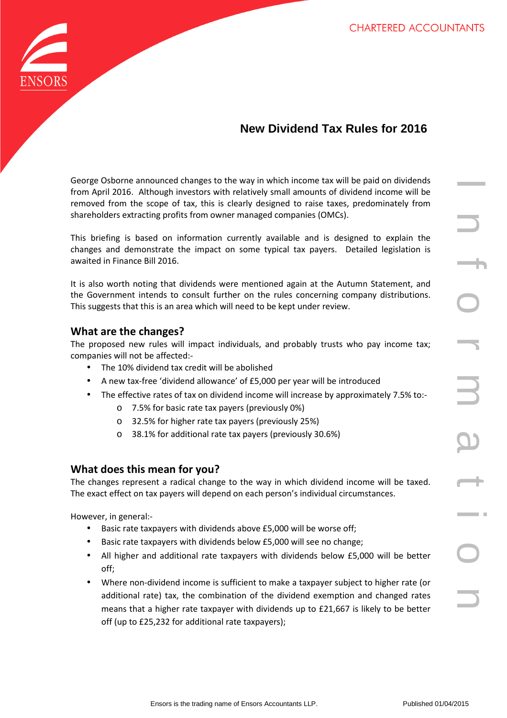

## **New Dividend Tax Rules for 2016**

George Osborne announced changes to the way in which income tax will be paid on dividends from April 2016. Although investors with relatively small amounts of dividend income will be removed from the scope of tax, this is clearly designed to raise taxes, predominately from shareholders extracting profits from owner managed companies (OMCs).

This briefing is based on information currently available and is designed to explain the changes and demonstrate the impact on some typical tax payers. Detailed legislation is awaited in Finance Bill 2016.

It is also worth noting that dividends were mentioned again at the Autumn Statement, and the Government intends to consult further on the rules concerning company distributions. This suggests that this is an area which will need to be kept under review.

## **What are the changes?**

The proposed new rules will impact individuals, and probably trusts who pay income tax; companies will not be affected:-

- The 10% dividend tax credit will be abolished
- A new tax-free 'dividend allowance' of £5,000 per year will be introduced
- The effective rates of tax on dividend income will increase by approximately 7.5% to:
	- o 7.5% for basic rate tax payers (previously 0%)
	- o 32.5% for higher rate tax payers (previously 25%)
	- o 38.1% for additional rate tax payers (previously 30.6%)

## **What does this mean for you?**

The changes represent a radical change to the way in which dividend income will be taxed. The exact effect on tax payers will depend on each person's individual circumstances.

However, in general:-

- Basic rate taxpayers with dividends above £5,000 will be worse off;
- Basic rate taxpayers with dividends below £5,000 will see no change;
- All higher and additional rate taxpayers with dividends below £5,000 will be better off;
- Where non-dividend income is sufficient to make a taxpayer subject to higher rate (or additional rate) tax, the combination of the dividend exemption and changed rates means that a higher rate taxpayer with dividends up to £21,667 is likely to be better off (up to £25,232 for additional rate taxpayers);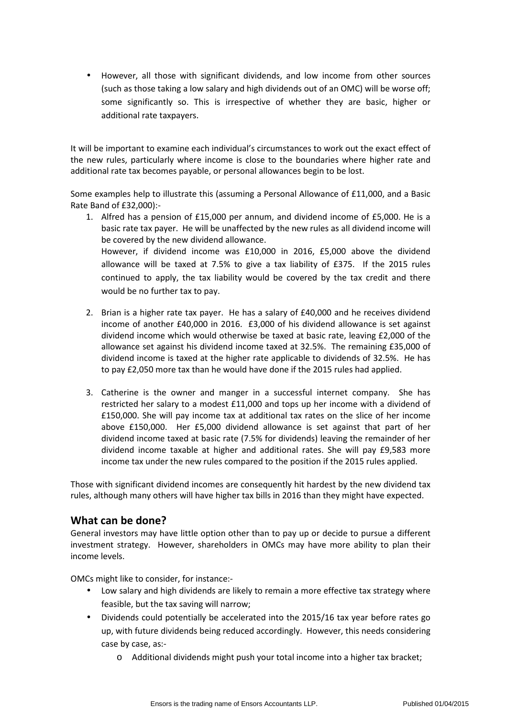• However, all those with significant dividends, and low income from other sources (such as those taking a low salary and high dividends out of an OMC) will be worse off; some significantly so. This is irrespective of whether they are basic, higher or additional rate taxpayers.

It will be important to examine each individual's circumstances to work out the exact effect of the new rules, particularly where income is close to the boundaries where higher rate and additional rate tax becomes payable, or personal allowances begin to be lost.

Some examples help to illustrate this (assuming a Personal Allowance of £11,000, and a Basic Rate Band of £32,000):-

- 1. Alfred has a pension of £15,000 per annum, and dividend income of £5,000. He is a basic rate tax payer. He will be unaffected by the new rules as all dividend income will be covered by the new dividend allowance. However, if dividend income was £10,000 in 2016, £5,000 above the dividend allowance will be taxed at 7.5% to give a tax liability of £375. If the 2015 rules continued to apply, the tax liability would be covered by the tax credit and there would be no further tax to pay.
- 2. Brian is a higher rate tax payer. He has a salary of  $£40,000$  and he receives dividend income of another £40,000 in 2016. £3,000 of his dividend allowance is set against dividend income which would otherwise be taxed at basic rate, leaving £2,000 of the allowance set against his dividend income taxed at 32.5%. The remaining £35,000 of dividend income is taxed at the higher rate applicable to dividends of 32.5%. He has to pay £2,050 more tax than he would have done if the 2015 rules had applied.
- 3. Catherine is the owner and manger in a successful internet company. She has restricted her salary to a modest £11,000 and tops up her income with a dividend of £150,000. She will pay income tax at additional tax rates on the slice of her income above £150,000. Her £5,000 dividend allowance is set against that part of her dividend income taxed at basic rate (7.5% for dividends) leaving the remainder of her dividend income taxable at higher and additional rates. She will pay £9,583 more income tax under the new rules compared to the position if the 2015 rules applied.

Those with significant dividend incomes are consequently hit hardest by the new dividend tax rules, although many others will have higher tax bills in 2016 than they might have expected.

## **What can be done?**

General investors may have little option other than to pay up or decide to pursue a different investment strategy. However, shareholders in OMCs may have more ability to plan their income levels.

OMCs might like to consider, for instance:-

- Low salary and high dividends are likely to remain a more effective tax strategy where feasible, but the tax saving will narrow;
- Dividends could potentially be accelerated into the 2015/16 tax year before rates go up, with future dividends being reduced accordingly. However, this needs considering case by case, as:
	- o Additional dividends might push your total income into a higher tax bracket;